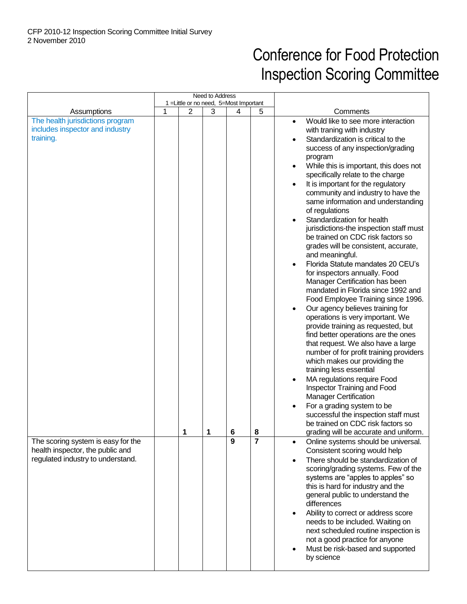## Conference for Food Protection Inspection Scoring Committee

|                                                                                                             | Need to Address<br>1 = Little or no need, 5 = Most Important |   |   |        |                     |                                                                                                                                                                                                                                                                                                                                                                                                                                                                                                                                                                                                                                                                                                                                                                                                                                                                                                                                                                                                                                                                                                                                                                                                                                                                            |
|-------------------------------------------------------------------------------------------------------------|--------------------------------------------------------------|---|---|--------|---------------------|----------------------------------------------------------------------------------------------------------------------------------------------------------------------------------------------------------------------------------------------------------------------------------------------------------------------------------------------------------------------------------------------------------------------------------------------------------------------------------------------------------------------------------------------------------------------------------------------------------------------------------------------------------------------------------------------------------------------------------------------------------------------------------------------------------------------------------------------------------------------------------------------------------------------------------------------------------------------------------------------------------------------------------------------------------------------------------------------------------------------------------------------------------------------------------------------------------------------------------------------------------------------------|
|                                                                                                             |                                                              |   |   |        |                     |                                                                                                                                                                                                                                                                                                                                                                                                                                                                                                                                                                                                                                                                                                                                                                                                                                                                                                                                                                                                                                                                                                                                                                                                                                                                            |
| Assumptions<br>The health jurisdictions program<br>includes inspector and industry<br>training.             | 1                                                            | 2 | 3 | 4      | 5                   | Comments<br>Would like to see more interaction<br>$\bullet$<br>with traning with industry<br>Standardization is critical to the<br>success of any inspection/grading<br>program<br>While this is important, this does not<br>specifically relate to the charge<br>It is important for the regulatory<br>community and industry to have the<br>same information and understanding<br>of regulations<br>Standardization for health<br>jurisdictions-the inspection staff must<br>be trained on CDC risk factors so<br>grades will be consistent, accurate,<br>and meaningful.<br>Florida Statute mandates 20 CEU's<br>for inspectors annually. Food<br>Manager Certification has been<br>mandated in Florida since 1992 and<br>Food Employee Training since 1996.<br>Our agency believes training for<br>operations is very important. We<br>provide training as requested, but<br>find better operations are the ones<br>that request. We also have a large<br>number of for profit training providers<br>which makes our providing the<br>training less essential<br>MA regulations require Food<br>Inspector Training and Food<br><b>Manager Certification</b><br>For a grading system to be<br>successful the inspection staff must<br>be trained on CDC risk factors so |
| The scoring system is easy for the<br>health inspector, the public and<br>regulated industry to understand. |                                                              | 1 | 1 | 6<br>9 | 8<br>$\overline{7}$ | grading will be accurate and uniform.<br>Online systems should be universal.<br>Consistent scoring would help<br>There should be standardization of<br>scoring/grading systems. Few of the<br>systems are "apples to apples" so<br>this is hard for industry and the<br>general public to understand the<br>differences<br>Ability to correct or address score<br>$\bullet$<br>needs to be included. Waiting on<br>next scheduled routine inspection is<br>not a good practice for anyone<br>Must be risk-based and supported<br>$\bullet$<br>by science                                                                                                                                                                                                                                                                                                                                                                                                                                                                                                                                                                                                                                                                                                                   |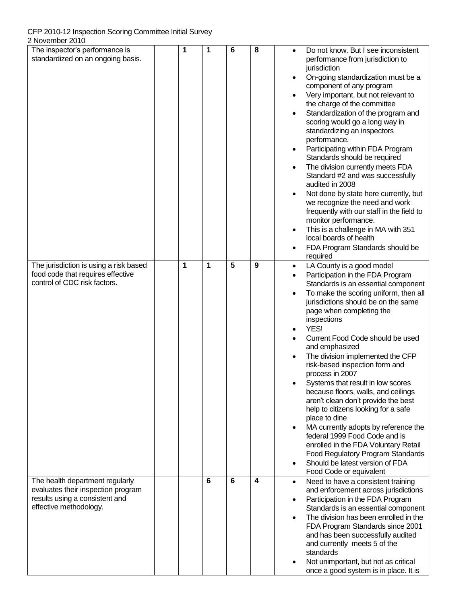CFP 2010-12 Inspection Scoring Committee Initial Survey

| L I VUVUIIIUUI LUIU                    |   |   |   |   |           |                                                                         |
|----------------------------------------|---|---|---|---|-----------|-------------------------------------------------------------------------|
| The inspector's performance is         | 1 | 1 | 6 | 8 |           | Do not know. But I see inconsistent                                     |
| standardized on an ongoing basis.      |   |   |   |   |           | performance from jurisdiction to                                        |
|                                        |   |   |   |   |           | jurisdiction                                                            |
|                                        |   |   |   |   | $\bullet$ | On-going standardization must be a                                      |
|                                        |   |   |   |   |           | component of any program                                                |
|                                        |   |   |   |   | $\bullet$ | Very important, but not relevant to                                     |
|                                        |   |   |   |   |           | the charge of the committee                                             |
|                                        |   |   |   |   | $\bullet$ | Standardization of the program and                                      |
|                                        |   |   |   |   |           | scoring would go a long way in                                          |
|                                        |   |   |   |   |           | standardizing an inspectors                                             |
|                                        |   |   |   |   |           | performance.                                                            |
|                                        |   |   |   |   | $\bullet$ | Participating within FDA Program                                        |
|                                        |   |   |   |   |           | Standards should be required                                            |
|                                        |   |   |   |   | $\bullet$ | The division currently meets FDA                                        |
|                                        |   |   |   |   |           | Standard #2 and was successfully                                        |
|                                        |   |   |   |   |           | audited in 2008                                                         |
|                                        |   |   |   |   |           |                                                                         |
|                                        |   |   |   |   | $\bullet$ | Not done by state here currently, but<br>we recognize the need and work |
|                                        |   |   |   |   |           |                                                                         |
|                                        |   |   |   |   |           | frequently with our staff in the field to                               |
|                                        |   |   |   |   |           | monitor performance.                                                    |
|                                        |   |   |   |   | $\bullet$ | This is a challenge in MA with 351                                      |
|                                        |   |   |   |   |           | local boards of health                                                  |
|                                        |   |   |   |   | $\bullet$ | FDA Program Standards should be                                         |
|                                        |   |   |   |   |           | required                                                                |
| The jurisdiction is using a risk based | 1 | 1 | 5 | 9 | $\bullet$ | LA County is a good model                                               |
| food code that requires effective      |   |   |   |   | $\bullet$ | Participation in the FDA Program                                        |
| control of CDC risk factors.           |   |   |   |   |           | Standards is an essential component                                     |
|                                        |   |   |   |   | $\bullet$ | To make the scoring uniform, then all                                   |
|                                        |   |   |   |   |           | jurisdictions should be on the same                                     |
|                                        |   |   |   |   |           | page when completing the                                                |
|                                        |   |   |   |   |           | inspections                                                             |
|                                        |   |   |   |   | $\bullet$ | YES!                                                                    |
|                                        |   |   |   |   | $\bullet$ | Current Food Code should be used                                        |
|                                        |   |   |   |   |           | and emphasized                                                          |
|                                        |   |   |   |   | $\bullet$ | The division implemented the CFP                                        |
|                                        |   |   |   |   |           | risk-based inspection form and                                          |
|                                        |   |   |   |   |           | process in 2007                                                         |
|                                        |   |   |   |   |           | Systems that result in low scores                                       |
|                                        |   |   |   |   |           | because floors, walls, and ceilings                                     |
|                                        |   |   |   |   |           | aren't clean don't provide the best                                     |
|                                        |   |   |   |   |           | help to citizens looking for a safe                                     |
|                                        |   |   |   |   |           | place to dine                                                           |
|                                        |   |   |   |   | $\bullet$ | MA currently adopts by reference the                                    |
|                                        |   |   |   |   |           | federal 1999 Food Code and is                                           |
|                                        |   |   |   |   |           | enrolled in the FDA Voluntary Retail                                    |
|                                        |   |   |   |   |           | Food Regulatory Program Standards                                       |
|                                        |   |   |   |   | $\bullet$ | Should be latest version of FDA                                         |
|                                        |   |   |   |   |           | Food Code or equivalent                                                 |
| The health department regularly        |   | 6 | 6 | 4 |           |                                                                         |
| evaluates their inspection program     |   |   |   |   | $\bullet$ | Need to have a consistent training                                      |
| results using a consistent and         |   |   |   |   |           | and enforcement across jurisdictions                                    |
| effective methodology.                 |   |   |   |   | $\bullet$ | Participation in the FDA Program                                        |
|                                        |   |   |   |   |           | Standards is an essential component                                     |
|                                        |   |   |   |   | $\bullet$ | The division has been enrolled in the                                   |
|                                        |   |   |   |   |           | FDA Program Standards since 2001                                        |
|                                        |   |   |   |   |           | and has been successfully audited                                       |
|                                        |   |   |   |   |           | and currently meets 5 of the                                            |
|                                        |   |   |   |   |           | standards                                                               |
|                                        |   |   |   |   | $\bullet$ | Not unimportant, but not as critical                                    |
|                                        |   |   |   |   |           | once a good system is in place. It is                                   |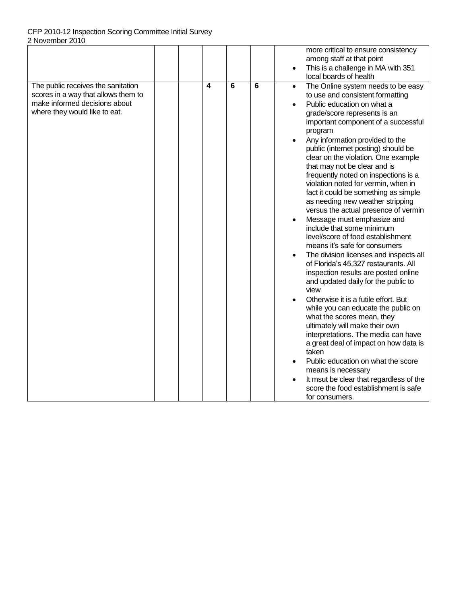## CFP 2010-12 Inspection Scoring Committee Initial Survey 2 November 2010

|                                                                                                                                             |   |   |   | more critical to ensure consistency<br>among staff at that point<br>This is a challenge in MA with 351<br>local boards of health                                                                                                                                                                                                                                                                                                                                                                                                                                                                                                                                                                                                                                                                                                                                                                                                                                                                                                                                                                                                                                                                                                                                                                     |
|---------------------------------------------------------------------------------------------------------------------------------------------|---|---|---|------------------------------------------------------------------------------------------------------------------------------------------------------------------------------------------------------------------------------------------------------------------------------------------------------------------------------------------------------------------------------------------------------------------------------------------------------------------------------------------------------------------------------------------------------------------------------------------------------------------------------------------------------------------------------------------------------------------------------------------------------------------------------------------------------------------------------------------------------------------------------------------------------------------------------------------------------------------------------------------------------------------------------------------------------------------------------------------------------------------------------------------------------------------------------------------------------------------------------------------------------------------------------------------------------|
| The public receives the sanitation<br>scores in a way that allows them to<br>make informed decisions about<br>where they would like to eat. | 4 | 6 | 6 | The Online system needs to be easy<br>$\bullet$<br>to use and consistent formatting<br>Public education on what a<br>$\bullet$<br>grade/score represents is an<br>important component of a successful<br>program<br>Any information provided to the<br>public (internet posting) should be<br>clear on the violation. One example<br>that may not be clear and is<br>frequently noted on inspections is a<br>violation noted for vermin, when in<br>fact it could be something as simple<br>as needing new weather stripping<br>versus the actual presence of vermin<br>Message must emphasize and<br>$\bullet$<br>include that some minimum<br>level/score of food establishment<br>means it's safe for consumers<br>The division licenses and inspects all<br>of Florida's 45,327 restaurants. All<br>inspection results are posted online<br>and updated daily for the public to<br>view<br>Otherwise it is a futile effort. But<br>while you can educate the public on<br>what the scores mean, they<br>ultimately will make their own<br>interpretations. The media can have<br>a great deal of impact on how data is<br>taken<br>Public education on what the score<br>means is necessary<br>It msut be clear that regardless of the<br>score the food establishment is safe<br>for consumers. |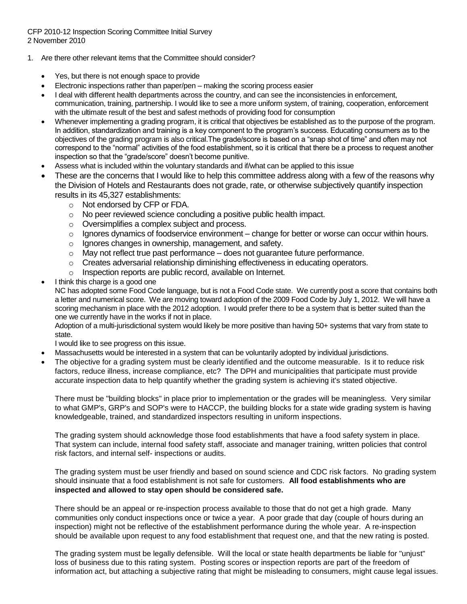CFP 2010-12 Inspection Scoring Committee Initial Survey 2 November 2010

- 1. Are there other relevant items that the Committee should consider?
	- Yes, but there is not enough space to provide
	- Electronic inspections rather than paper/pen making the scoring process easier
	- I deal with different health departments across the country, and can see the inconsistencies in enforcement, communication, training, partnership. I would like to see a more uniform system, of training, cooperation, enforcement with the ultimate result of the best and safest methods of providing food for consumption
	- Whenever implementing a grading program, it is critical that objectives be established as to the purpose of the program. In addition, standardization and training is a key component to the program's success. Educating consumers as to the objectives of the grading program is also critical.The grade/score is based on a "snap shot of time" and often may not correspond to the "normal" activities of the food establishment, so it is critical that there be a process to request another inspection so that the "grade/score" doesn't become punitive.
	- Assess what is included within the voluntary standards and if/what can be applied to this issue
	- These are the concerns that I would like to help this committee address along with a few of the reasons why the Division of Hotels and Restaurants does not grade, rate, or otherwise subjectively quantify inspection results in its 45,327 establishments:
		- o Not endorsed by CFP or FDA.
		- o No peer reviewed science concluding a positive public health impact.
		- o Oversimplifies a complex subject and process.
		- $\circ$  Ignores dynamics of foodservice environment change for better or worse can occur within hours.
		- o Ignores changes in ownership, management, and safety.
		- $\circ$  May not reflect true past performance does not quarantee future performance.
		- $\circ$  Creates adversarial relationship diminishing effectiveness in educating operators.
		- o Inspection reports are public record, available on Internet.
	- I think this charge is a good one

NC has adopted some Food Code language, but is not a Food Code state. We currently post a score that contains both a letter and numerical score. We are moving toward adoption of the 2009 Food Code by July 1, 2012. We will have a scoring mechanism in place with the 2012 adoption. I would prefer there to be a system that is better suited than the one we currently have in the works if not in place.

Adoption of a multi-jurisdictional system would likely be more positive than having 50+ systems that vary from state to state.

I would like to see progress on this issue.

- Massachusetts would be interested in a system that can be voluntarily adopted by individual jurisdictions.
- The objective for a grading system must be clearly identified and the outcome measurable. Is it to reduce risk factors, reduce illness, increase compliance, etc? The DPH and municipalities that participate must provide accurate inspection data to help quantify whether the grading system is achieving it's stated objective.

There must be "building blocks" in place prior to implementation or the grades will be meaningless. Very similar to what GMP's, GRP's and SOP's were to HACCP, the building blocks for a state wide grading system is having knowledgeable, trained, and standardized inspectors resulting in uniform inspections.

The grading system should acknowledge those food establishments that have a food safety system in place. That system can include, internal food safety staff, associate and manager training, written policies that control risk factors, and internal self- inspections or audits.

The grading system must be user friendly and based on sound science and CDC risk factors. No grading system should insinuate that a food establishment is not safe for customers. **All food establishments who are inspected and allowed to stay open should be considered safe.** 

There should be an appeal or re-inspection process available to those that do not get a high grade. Many communities only conduct inspections once or twice a year. A poor grade that day (couple of hours during an inspection) might not be reflective of the establishment performance during the whole year. A re-inspection should be available upon request to any food establishment that request one, and that the new rating is posted.

The grading system must be legally defensible. Will the local or state health departments be liable for "unjust" loss of business due to this rating system. Posting scores or inspection reports are part of the freedom of information act, but attaching a subjective rating that might be misleading to consumers, might cause legal issues.